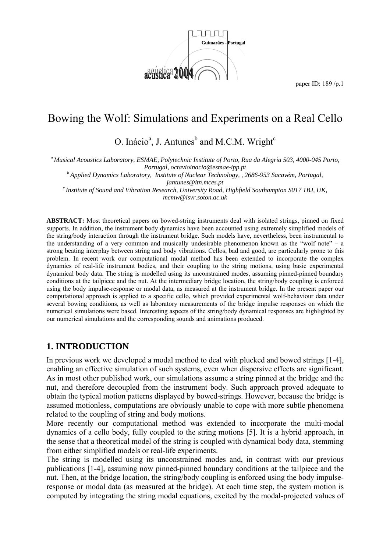

# Bowing the Wolf: Simulations and Experiments on a Real Cello

O. Inácio<sup>a</sup>, J. Antunes<sup>b</sup> and M.C.M. Wright<sup>c</sup>

*a Musical Acoustics Laboratory, ESMAE, Polytechnic Institute of Porto, Rua da Alegria 503, 4000-045 Porto,* 

*Portugal, octavioinacio@esmae-ipp.pt b Applied Dynamics Laboratory, Institute of Nuclear Technology, , 2686-953 Sacavém, Portugal,* 

*jantunes@itn.mces.pt*<br><sup>c</sup> Institute of Sound and Vibration Research, University Road, Highfield Southampton S017 1BJ, UK, *mcmw@isvr.soton.ac.uk* 

**ABSTRACT:** Most theoretical papers on bowed-string instruments deal with isolated strings, pinned on fixed supports. In addition, the instrument body dynamics have been accounted using extremely simplified models of the string/body interaction through the instrument bridge. Such models have, nevertheless, been instrumental to the understanding of a very common and musically undesirable phenomenon known as the "wolf note" – a strong beating interplay between string and body vibrations. Cellos, bad and good, are particularly prone to this problem. In recent work our computational modal method has been extended to incorporate the complex dynamics of real-life instrument bodies, and their coupling to the string motions, using basic experimental dynamical body data. The string is modelled using its unconstrained modes, assuming pinned-pinned boundary conditions at the tailpiece and the nut. At the intermediary bridge location, the string/body coupling is enforced using the body impulse-response or modal data, as measured at the instrument bridge. In the present paper our computational approach is applied to a specific cello, which provided experimental wolf-behaviour data under several bowing conditions, as well as laboratory measurements of the bridge impulse responses on which the numerical simulations were based. Interesting aspects of the string/body dynamical responses are highlighted by our numerical simulations and the corresponding sounds and animations produced.

# **1. INTRODUCTION**

In previous work we developed a modal method to deal with plucked and bowed strings [1-4], enabling an effective simulation of such systems, even when dispersive effects are significant. As in most other published work, our simulations assume a string pinned at the bridge and the nut, and therefore decoupled from the instrument body. Such approach proved adequate to obtain the typical motion patterns displayed by bowed-strings. However, because the bridge is assumed motionless, computations are obviously unable to cope with more subtle phenomena related to the coupling of string and body motions.

More recently our computational method was extended to incorporate the multi-modal dynamics of a cello body, fully coupled to the string motions [5]. It is a hybrid approach, in the sense that a theoretical model of the string is coupled with dynamical body data, stemming from either simplified models or real-life experiments.

The string is modelled using its unconstrained modes and, in contrast with our previous publications [1-4], assuming now pinned-pinned boundary conditions at the tailpiece and the nut. Then, at the bridge location, the string/body coupling is enforced using the body impulseresponse or modal data (as measured at the bridge). At each time step, the system motion is computed by integrating the string modal equations, excited by the modal-projected values of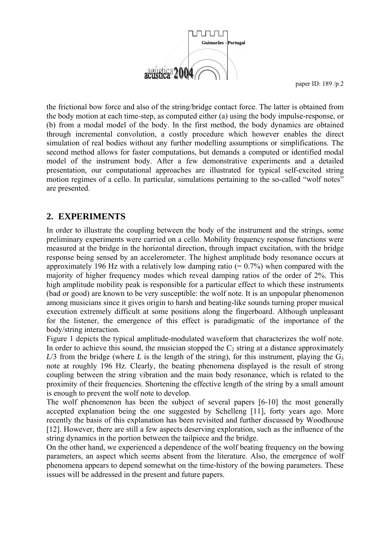

the frictional bow force and also of the string/bridge contact force. The latter is obtained from the body motion at each time-step, as computed either (a) using the body impulse-response, or (b) from a modal model of the body. In the first method, the body dynamics are obtained through incremental convolution, a costly procedure which however enables the direct simulation of real bodies without any further modelling assumptions or simplifications. The second method allows for faster computations, but demands a computed or identified modal model of the instrument body. After a few demonstrative experiments and a detailed presentation, our computational approaches are illustrated for typical self-excited string motion regimes of a cello. In particular, simulations pertaining to the so-called "wolf notes" are presented.

# **2. EXPERIMENTS**

In order to illustrate the coupling between the body of the instrument and the strings, some preliminary experiments were carried on a cello. Mobility frequency response functions were measured at the bridge in the horizontal direction, through impact excitation, with the bridge response being sensed by an accelerometer. The highest amplitude body resonance occurs at approximately 196 Hz with a relatively low damping ratio  $(= 0.7%)$  when compared with the majority of higher frequency modes which reveal damping ratios of the order of 2%. This high amplitude mobility peak is responsible for a particular effect to which these instruments (bad or good) are known to be very susceptible: the wolf note. It is an unpopular phenomenon among musicians since it gives origin to harsh and beating-like sounds turning proper musical execution extremely difficult at some positions along the fingerboard. Although unpleasant for the listener, the emergence of this effect is paradigmatic of the importance of the body/string interaction.

Figure 1 depicts the typical amplitude-modulated waveform that characterizes the wolf note. In order to achieve this sound, the musician stopped the  $C_2$  string at a distance approximately  $L/3$  from the bridge (where *L* is the length of the string), for this instrument, playing the  $G_3$ note at roughly 196 Hz. Clearly, the beating phenomena displayed is the result of strong coupling between the string vibration and the main body resonance, which is related to the proximity of their frequencies. Shortening the effective length of the string by a small amount is enough to prevent the wolf note to develop.

The wolf phenomenon has been the subject of several papers [6-10] the most generally accepted explanation being the one suggested by Schelleng [11], forty years ago. More recently the basis of this explanation has been revisited and further discussed by Woodhouse [12]. However, there are still a few aspects deserving exploration, such as the influence of the string dynamics in the portion between the tailpiece and the bridge.

On the other hand, we experienced a dependence of the wolf beating frequency on the bowing parameters, an aspect which seems absent from the literature. Also, the emergence of wolf phenomena appears to depend somewhat on the time-history of the bowing parameters. These issues will be addressed in the present and future papers.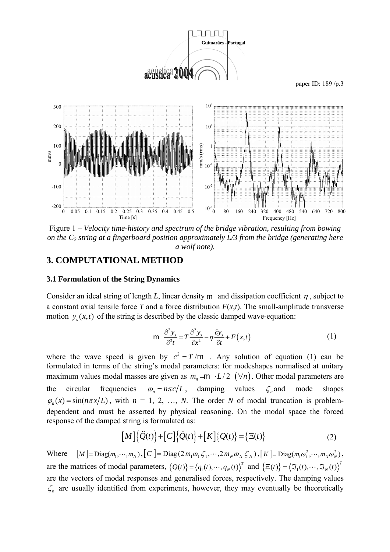

Figure 1 – *Velocity time-history and spectrum of the bridge vibration, resulting from bowing on the C2 string at a fingerboard position approximately L/3 from the bridge (generating here a wolf note).*

#### **3. COMPUTATIONAL METHOD**

#### **3.1 Formulation of the String Dynamics**

Consider an ideal string of length *L*, linear density m and dissipation coefficient  $\eta$ , subject to a constant axial tensile force *T* and a force distribution  $F(x,t)$ . The small-amplitude transverse motion  $y(x, t)$  of the string is described by the classic damped wave-equation:

$$
m \frac{\partial^2 y_s}{\partial^2 t} = T \frac{\partial^2 y_s}{\partial x^2} - \eta \frac{\partial y_s}{\partial t} + F(x, t)
$$
 (1)

where the wave speed is given by  $c^2 = T/m$ . Any solution of equation (1) can be formulated in terms of the string's modal parameters: for modeshapes normalised at unitary maximum values modal masses are given as  $m = m \cdot L/2$  ( $\forall n$ ). Other modal parameters are the circular frequencies  $\omega_n = n\pi c/L$ , damping values  $\zeta$  and mode shapes  $\varphi_n(x) = \sin(n\pi x/L)$ , with  $n = 1, 2, ..., N$ . The order *N* of modal truncation is problemdependent and must be asserted by physical reasoning. On the modal space the forced response of the damped string is formulated as:

$$
\left[M\right]\left\{\ddot{Q}(t)\right\}+\left[C\right]\left\{\dot{Q}(t)\right\}+\left[K\right]\left\{Q(t)\right\}=\left\{\Xi(t)\right\}\tag{2}
$$

Where  $[M] = \text{Diag}(m_1, \dots, m_N)$ ,  $[C] = \text{Diag}(2 m_1 \omega_1 \zeta_1, \dots, 2 m_N \omega_N \zeta_N)$ ,  $[K] = \text{Diag}(m_1 \omega_1^2, \dots, m_N \omega_N^2)$ , are the matrices of modal parameters,  $\{Q(t)\} = \langle q_1(t), \dots, q_N(t) \rangle^T$  and  $\{\Xi(t)\} = \langle \Im_1(t), \dots, \Im_N(t) \rangle^T$ are the vectors of modal responses and generalised forces, respectively. The damping values  $\zeta_n$  are usually identified from experiments, however, they may eventually be theoretically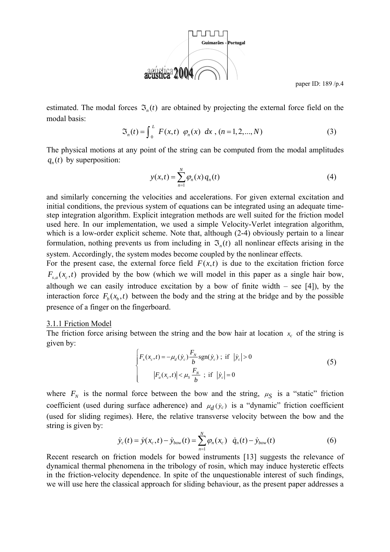

estimated. The modal forces  $\mathfrak{I}_n(t)$  are obtained by projecting the external force field on the modal basis:

$$
\mathfrak{S}_n(t) = \int_0^L F(x, t) \varphi_n(x) \, dx \, , \, (n = 1, 2, \dots, N) \tag{3}
$$

The physical motions at any point of the string can be computed from the modal amplitudes  $q<sub>x</sub>(t)$  by superposition:

$$
y(x,t) = \sum_{n=1}^{N} \varphi_n(x) q_n(t)
$$
 (4)

and similarly concerning the velocities and accelerations. For given external excitation and initial conditions, the previous system of equations can be integrated using an adequate timestep integration algorithm. Explicit integration methods are well suited for the friction model used here. In our implementation, we used a simple Velocity-Verlet integration algorithm, which is a low-order explicit scheme. Note that, although (2-4) obviously pertain to a linear formulation, nothing prevents us from including in  $\mathfrak{I}_n(t)$  all nonlinear effects arising in the system. Accordingly, the system modes become coupled by the nonlinear effects.

For the present case, the external force field  $F(x,t)$  is due to the excitation friction force  $F_{s,a}(x_c,t)$  provided by the bow (which we will model in this paper as a single hair bow, although we can easily introduce excitation by a bow of finite width  $-$  see [4]), by the interaction force  $F_b(x_b, t)$  between the body and the string at the bridge and by the possible presence of a finger on the fingerboard.

#### 3.1.1 Friction Model

The friction force arising between the string and the bow hair at location  $x_c$  of the string is given by:

$$
\begin{cases}\nF_s(x_c, t) = -\mu_d(\dot{y}_c) \frac{F_N}{b} \text{sgn}(\dot{y}_c) ; \text{ if } |\dot{y}_c| > 0 \\
|F_a(x_c, t)| < \mu_s \frac{F_N}{b} ; \text{ if } |\dot{y}_c| = 0\n\end{cases}
$$
\n(5)

where  $F_N$  is the normal force between the bow and the string,  $\mu_S$  is a "static" friction coefficient (used during surface adherence) and  $\mu_d(y_c)$  is a "dynamic" friction coefficient (used for sliding regimes). Here, the relative transverse velocity between the bow and the string is given by:

$$
\dot{y}_c(t) = \dot{y}(x_c, t) - \dot{y}_{bow}(t) = \sum_{n=1}^{N} \varphi_n(x_c) \dot{q}_n(t) - \dot{y}_{bow}(t)
$$
\n(6)

Recent research on friction models for bowed instruments [13] suggests the relevance of dynamical thermal phenomena in the tribology of rosin, which may induce hysteretic effects in the friction-velocity dependence. In spite of the unquestionable interest of such findings, we will use here the classical approach for sliding behaviour, as the present paper addresses a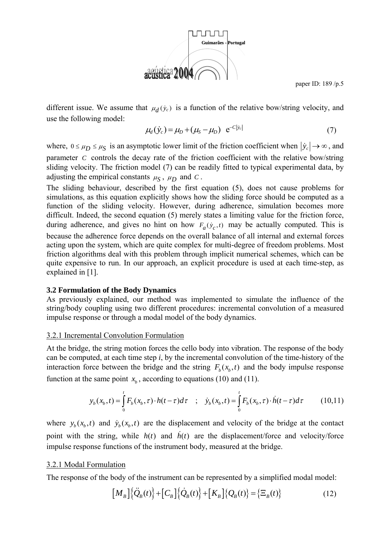

different issue. We assume that  $\mu_d$   $(\dot{y}_c)$  is a function of the relative bow/string velocity, and use the following model:

$$
\mu_d(\dot{y}_c) = \mu_D + (\mu_S - \mu_D) e^{-C|\dot{y}_c|}
$$
\n(7)

where,  $0 \le \mu_D \le \mu_S$  is an asymptotic lower limit of the friction coefficient when  $|\dot{y}_c| \to \infty$ , and parameter *C* controls the decay rate of the friction coefficient with the relative bow/string sliding velocity. The friction model (7) can be readily fitted to typical experimental data, by adjusting the empirical constants  $\mu_S$ ,  $\mu_D$  and *C*.

The sliding behaviour, described by the first equation (5), does not cause problems for simulations, as this equation explicitly shows how the sliding force should be computed as a function of the sliding velocity. However, during adherence, simulation becomes more difficult. Indeed, the second equation (5) merely states a limiting value for the friction force, during adherence, and gives no hint on how  $F_a(y_c, t)$  may be actually computed. This is because the adherence force depends on the overall balance of all internal and external forces acting upon the system, which are quite complex for multi-degree of freedom problems. Most friction algorithms deal with this problem through implicit numerical schemes, which can be quite expensive to run. In our approach, an explicit procedure is used at each time-step, as explained in [1].

#### **3.2 Formulation of the Body Dynamics**

As previously explained, our method was implemented to simulate the influence of the string/body coupling using two different procedures: incremental convolution of a measured impulse response or through a modal model of the body dynamics.

#### 3.2.1 Incremental Convolution Formulation

At the bridge, the string motion forces the cello body into vibration. The response of the body can be computed, at each time step *i*, by the incremental convolution of the time-history of the interaction force between the bridge and the string  $F<sub>b</sub>(x<sub>b</sub>, t)$  and the body impulse response function at the same point  $x<sub>b</sub>$ , according to equations (10) and (11).

$$
y_b(x_b, t) = \int_0^t F_b(x_b, \tau) \cdot h(t - \tau) d\tau \quad ; \quad \dot{y}_b(x_b, t) = \int_0^t F_b(x_b, \tau) \cdot \dot{h}(t - \tau) d\tau \tag{10.11}
$$

where  $y_h(x_h, t)$  and  $\dot{y}_h(x_h, t)$  are the displacement and velocity of the bridge at the contact point with the string, while  $h(t)$  and  $\dot{h}(t)$  are the displacement/force and velocity/force impulse response functions of the instrument body, measured at the bridge.

#### 3.2.1 Modal Formulation

The response of the body of the instrument can be represented by a simplified modal model:

$$
\left[M_B\right]\left\{\ddot{Q}_B(t)\right\}+\left[C_B\right]\left\{\dot{Q}_B(t)\right\}+\left[K_B\right]\left\{Q_B(t)\right\}=\left\{\Xi_B(t)\right\}\tag{12}
$$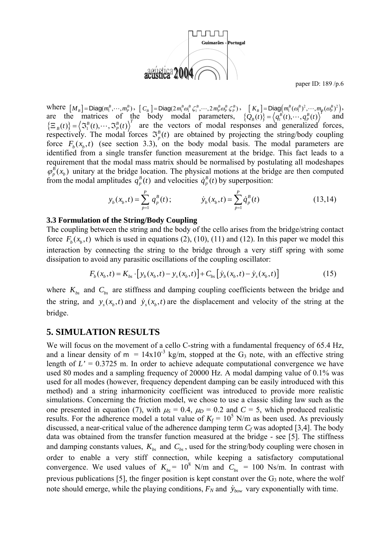

where  $[M_B] = \text{Diag}(m_1^B, \dots, m_p^B)$ ,  $[C_B] = \text{Diag}(2m_1^B \omega_1^B \zeta_1^B, \dots, 2m_p^B \omega_p^B \zeta_p^B)$ ,  $[K_B] = \text{Diag}(m_1^B (\omega_1^B)^2, \dots, m_p (\omega_p^B)^2)$ , are the matrices of the body modal parameters,  $\{Q_B(t)\} = \langle q_1^B(t), \dots, q_p^B(t) \rangle$  and  $\{\Xi_B(t)\} = \langle \Im_1^B(t), \cdots, \Im_p^B(t) \rangle^T$  are the vectors of modal responses and generalized forces, respectively. The modal forces  $\mathfrak{S}_p^B(t)$  are obtained by projecting the string/body coupling force  $F_b(x_b, t)$  (see section 3.3), on the body modal basis. The modal parameters are identified from a single transfer function measurement at the bridge. This fact leads to a requirement that the modal mass matrix should be normalised by postulating all modeshapes  $\varphi_p^B(x_b)$  unitary at the bridge location. The physical motions at the bridge are then computed from the modal amplitudes  $q_p^B(t)$  and velocities  $\dot{q}_p^B(t)$  by superposition:

$$
y_b(x_b, t) = \sum_{p=1}^P q_p^B(t); \qquad \dot{y}_b(x_b, t) = \sum_{p=1}^P \dot{q}_p^B(t) \qquad (13.14)
$$

#### **3.3 Formulation of the String/Body Coupling**

The coupling between the string and the body of the cello arises from the bridge/string contact force  $F<sub>b</sub>(x<sub>b</sub>, t)$  which is used in equations (2), (10), (11) and (12). In this paper we model this interaction by connecting the string to the bridge through a very stiff spring with some dissipation to avoid any parasitic oscillations of the coupling oscillator:

$$
F_b(x_b, t) = K_{bs} \cdot [y_b(x_b, t) - y_s(x_b, t)] + C_{bs} [y_b(x_b, t) - y_s(x_b, t)]
$$
\n(15)

where  $K_{bs}$  and  $C_{bs}$  are stiffness and damping coupling coefficients between the bridge and the string, and  $y_s(x_b, t)$  and  $\dot{y}_s(x_b, t)$  are the displacement and velocity of the string at the bridge.

### **5. SIMULATION RESULTS**

We will focus on the movement of a cello C-string with a fundamental frequency of 65.4 Hz, and a linear density of  $m = 14x10^{-3}$  kg/m, stopped at the G<sub>3</sub> note, with an effective string length of  $L' = 0.3725$  m. In order to achieve adequate computational convergence we have used 80 modes and a sampling frequency of 20000 Hz. A modal damping value of 0.1% was used for all modes (however, frequency dependent damping can be easily introduced with this method) and a string inharmonicity coefficient was introduced to provide more realistic simulations. Concerning the friction model, we chose to use a classic sliding law such as the one presented in equation (7), with  $\mu_S = 0.4$ ,  $\mu_D = 0.2$  and  $C = 5$ , which produced realistic results. For the adherence model a total value of  $K_f = 10^5$  N/m as been used. As previously discussed, a near-critical value of the adherence damping term  $C_f$  was adopted [3,4]. The body data was obtained from the transfer function measured at the bridge - see [5]. The stiffness and damping constants values,  $K_{bs}$  and  $C_{bs}$ , used for the string/body coupling were chosen in order to enable a very stiff connection, while keeping a satisfactory computational convergence. We used values of  $K_{bs} = 10^8$  N/m and  $C_{bs} = 100$  Ns/m. In contrast with previous publications [5], the finger position is kept constant over the  $G_3$  note, where the wolf note should emerge, while the playing conditions,  $F_N$  and  $\dot{y}_{bow}$  vary exponentially with time.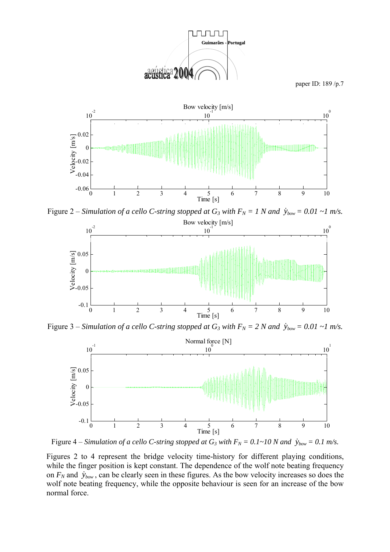



Figure 2 – *Simulation of a cello C-string stopped at G<sub>3</sub> with*  $F_N = 1$  *N and*  $\dot{y}_{bow} = 0.01 \sim 1$  *m/s.* 



Figure 3 – *Simulation of a cello C-string stopped at G<sub>3</sub> with*  $F_N = 2 N$  *and*  $\dot{y}_{bow} = 0.01 \sim 1$  *m/s.* 



Figure 4 – *Simulation of a cello C-string stopped at G<sub>3</sub> with*  $F_N = 0.1 \text{--} 10 \text{ N}$  *and*  $\dot{y}_{bow} = 0.1 \text{ m/s}$ *.* 

Figures 2 to 4 represent the bridge velocity time-history for different playing conditions, while the finger position is kept constant. The dependence of the wolf note beating frequency on  $F_N$  and  $\dot{y}_{bow}$ , can be clearly seen in these figures. As the bow velocity increases so does the wolf note beating frequency, while the opposite behaviour is seen for an increase of the bow normal force.